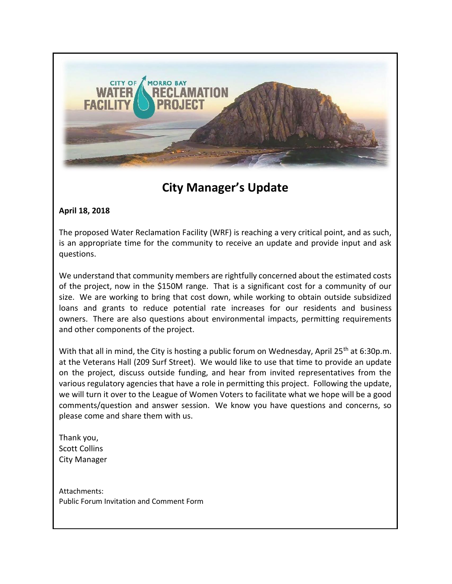

## **City Manager's Update**

#### **April 18, 2018**

The proposed Water Reclamation Facility (WRF) is reaching a very critical point, and as such, is an appropriate time for the community to receive an update and provide input and ask questions.

We understand that community members are rightfully concerned about the estimated costs of the project, now in the \$150M range. That is a significant cost for a community of our size. We are working to bring that cost down, while working to obtain outside subsidized loans and grants to reduce potential rate increases for our residents and business owners. There are also questions about environmental impacts, permitting requirements and other components of the project.

With that all in mind, the City is hosting a public forum on Wednesday, April 25<sup>th</sup> at 6:30p.m. at the Veterans Hall (209 Surf Street). We would like to use that time to provide an update on the project, discuss outside funding, and hear from invited representatives from the various regulatory agencies that have a role in permitting this project. Following the update, we will turn it over to the League of Women Voters to facilitate what we hope will be a good comments/question and answer session. We know you have questions and concerns, so please come and share them with us.

Thank you, Scott Collins City Manager

Attachments: Public Forum Invitation and Comment Form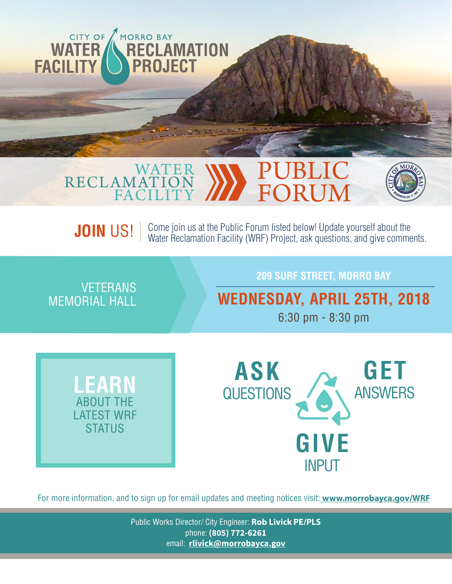

#### WATER RECLAMATION FACILITY PUBLIC FORUM



Come join us at the Public Forum listed below! Update yourself about the Water Reclamation Facility (WRF) Project, ask questions, and give comments. **JOIN** US!

VETERANS MEMORIAL HALL

### **209 SURF STREET, MORRO BAY**

**WEDNESDAY, APRIL 25TH, 2018**

6:30 pm - 8:30 pm





For more information, and to sign up for email updates and meeting notices visit: **www.morrobayca.gov/WRF**

Public Works Director/ City Engineer: **Rob Livick PE/PLS** phone: **(805) 772-6261** email: **rlivick@morrobayca.gov**